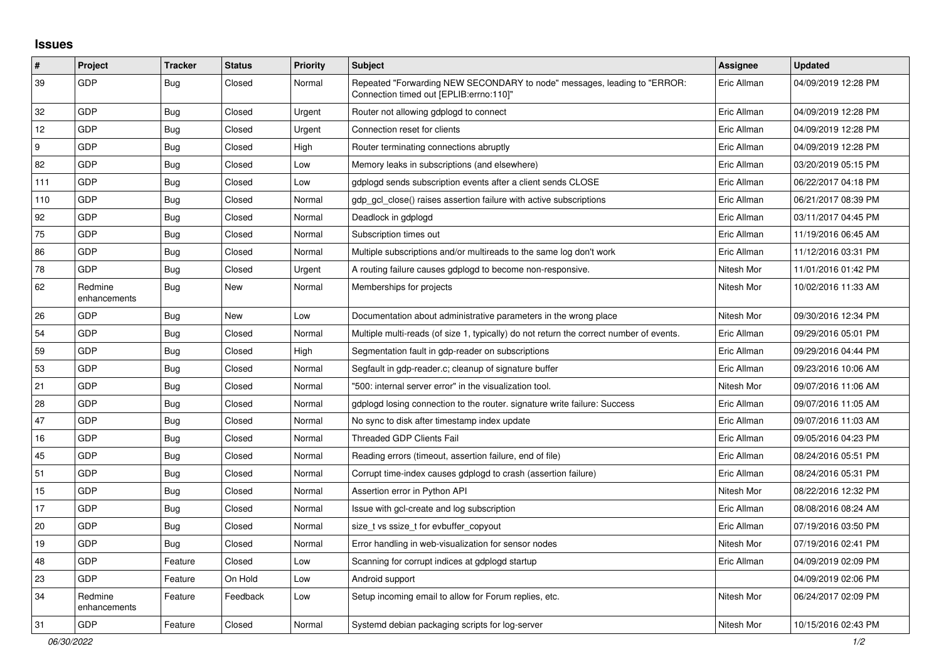## **Issues**

| $\vert$ # | Project                 | <b>Tracker</b> | <b>Status</b> | <b>Priority</b> | <b>Subject</b>                                                                                                      | Assignee    | <b>Updated</b>      |
|-----------|-------------------------|----------------|---------------|-----------------|---------------------------------------------------------------------------------------------------------------------|-------------|---------------------|
| 39        | GDP                     | <b>Bug</b>     | Closed        | Normal          | Repeated "Forwarding NEW SECONDARY to node" messages, leading to "ERROR:<br>"Connection timed out [EPLIB:errno:110] | Eric Allman | 04/09/2019 12:28 PM |
| 32        | GDP                     | <b>Bug</b>     | Closed        | Urgent          | Router not allowing gdplogd to connect                                                                              | Eric Allman | 04/09/2019 12:28 PM |
| 12        | GDP                     | Bug            | Closed        | Urgent          | Connection reset for clients                                                                                        | Eric Allman | 04/09/2019 12:28 PM |
| 9         | GDP                     | Bug            | Closed        | High            | Router terminating connections abruptly                                                                             | Eric Allman | 04/09/2019 12:28 PM |
| 82        | GDP                     | Bug            | Closed        | Low             | Memory leaks in subscriptions (and elsewhere)                                                                       | Eric Allman | 03/20/2019 05:15 PM |
| 111       | GDP                     | Bug            | Closed        | Low             | gdplogd sends subscription events after a client sends CLOSE                                                        | Eric Allman | 06/22/2017 04:18 PM |
| 110       | GDP                     | <b>Bug</b>     | Closed        | Normal          | gdp_gcl_close() raises assertion failure with active subscriptions                                                  | Eric Allman | 06/21/2017 08:39 PM |
| 92        | GDP                     | Bug            | Closed        | Normal          | Deadlock in gdplogd                                                                                                 | Eric Allman | 03/11/2017 04:45 PM |
| 75        | <b>GDP</b>              | Bug            | Closed        | Normal          | Subscription times out                                                                                              | Eric Allman | 11/19/2016 06:45 AM |
| 86        | GDP                     | <b>Bug</b>     | Closed        | Normal          | Multiple subscriptions and/or multireads to the same log don't work                                                 | Eric Allman | 11/12/2016 03:31 PM |
| 78        | <b>GDP</b>              | <b>Bug</b>     | Closed        | Urgent          | A routing failure causes gdplogd to become non-responsive.                                                          | Nitesh Mor  | 11/01/2016 01:42 PM |
| 62        | Redmine<br>enhancements | <b>Bug</b>     | New           | Normal          | Memberships for projects                                                                                            | Nitesh Mor  | 10/02/2016 11:33 AM |
| 26        | GDP                     | <b>Bug</b>     | New           | Low             | Documentation about administrative parameters in the wrong place                                                    | Nitesh Mor  | 09/30/2016 12:34 PM |
| 54        | GDP                     | Bug            | Closed        | Normal          | Multiple multi-reads (of size 1, typically) do not return the correct number of events.                             | Eric Allman | 09/29/2016 05:01 PM |
| 59        | GDP                     | <b>Bug</b>     | Closed        | High            | Segmentation fault in gdp-reader on subscriptions                                                                   | Eric Allman | 09/29/2016 04:44 PM |
| 53        | GDP                     | Bug            | Closed        | Normal          | Segfault in gdp-reader.c; cleanup of signature buffer                                                               | Eric Allman | 09/23/2016 10:06 AM |
| 21        | GDP                     | Bug            | Closed        | Normal          | "500: internal server error" in the visualization tool.                                                             | Nitesh Mor  | 09/07/2016 11:06 AM |
| 28        | GDP                     | <b>Bug</b>     | Closed        | Normal          | gdplogd losing connection to the router, signature write failure: Success                                           | Eric Allman | 09/07/2016 11:05 AM |
| 47        | GDP                     | Bug            | Closed        | Normal          | No sync to disk after timestamp index update                                                                        | Eric Allman | 09/07/2016 11:03 AM |
| 16        | GDP                     | <b>Bug</b>     | Closed        | Normal          | <b>Threaded GDP Clients Fail</b>                                                                                    | Eric Allman | 09/05/2016 04:23 PM |
| 45        | GDP                     | Bug            | Closed        | Normal          | Reading errors (timeout, assertion failure, end of file)                                                            | Eric Allman | 08/24/2016 05:51 PM |
| 51        | <b>GDP</b>              | Bug            | Closed        | Normal          | Corrupt time-index causes gdplogd to crash (assertion failure)                                                      | Eric Allman | 08/24/2016 05:31 PM |
| 15        | GDP                     | <b>Bug</b>     | Closed        | Normal          | Assertion error in Python API                                                                                       | Nitesh Mor  | 08/22/2016 12:32 PM |
| 17        | GDP                     | <b>Bug</b>     | Closed        | Normal          | Issue with gcl-create and log subscription                                                                          | Eric Allman | 08/08/2016 08:24 AM |
| 20        | GDP                     | Bug            | Closed        | Normal          | size_t vs ssize_t for evbuffer_copyout                                                                              | Eric Allman | 07/19/2016 03:50 PM |
| 19        | GDP                     | Bug            | Closed        | Normal          | Error handling in web-visualization for sensor nodes                                                                | Nitesh Mor  | 07/19/2016 02:41 PM |
| 48        | GDP                     | Feature        | Closed        | Low             | Scanning for corrupt indices at gdplogd startup                                                                     | Eric Allman | 04/09/2019 02:09 PM |
| 23        | GDP                     | Feature        | On Hold       | Low             | Android support                                                                                                     |             | 04/09/2019 02:06 PM |
| 34        | Redmine<br>enhancements | Feature        | Feedback      | Low             | Setup incoming email to allow for Forum replies, etc.                                                               | Nitesh Mor  | 06/24/2017 02:09 PM |
| 31        | GDP                     | Feature        | Closed        | Normal          | Systemd debian packaging scripts for log-server                                                                     | Nitesh Mor  | 10/15/2016 02:43 PM |